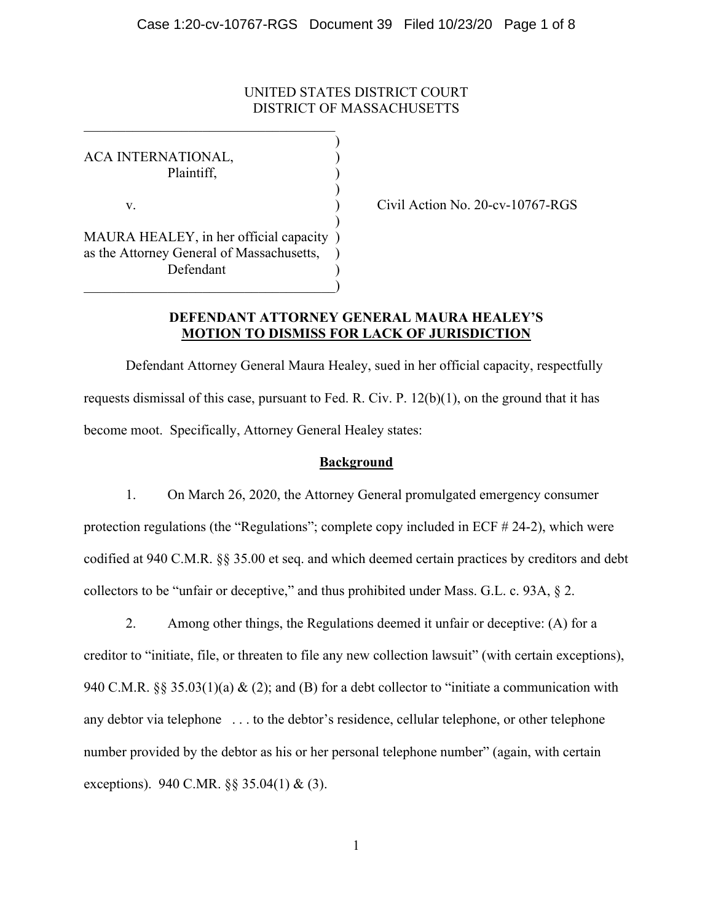# UNITED STATES DISTRICT COURT DISTRICT OF MASSACHUSETTS

)

)

)

ACA INTERNATIONAL, Plaintiff, ) v. Civil Action No. 20-cv-10767-RGS MAURA HEALEY, in her official capacity ) as the Attorney General of Massachusetts, ) Defendant )

 $\Box$ )

## **DEFENDANT ATTORNEY GENERAL MAURA HEALEY'S MOTION TO DISMISS FOR LACK OF JURISDICTION**

Defendant Attorney General Maura Healey, sued in her official capacity, respectfully requests dismissal of this case, pursuant to Fed. R. Civ. P. 12(b)(1), on the ground that it has become moot. Specifically, Attorney General Healey states:

## **Background**

1. On March 26, 2020, the Attorney General promulgated emergency consumer protection regulations (the "Regulations"; complete copy included in ECF # 24-2), which were codified at 940 C.M.R. §§ 35.00 et seq. and which deemed certain practices by creditors and debt collectors to be "unfair or deceptive," and thus prohibited under Mass. G.L. c. 93A, § 2.

2. Among other things, the Regulations deemed it unfair or deceptive: (A) for a creditor to "initiate, file, or threaten to file any new collection lawsuit" (with certain exceptions), 940 C.M.R. §§ 35.03(1)(a) & (2); and (B) for a debt collector to "initiate a communication with any debtor via telephone . . . to the debtor's residence, cellular telephone, or other telephone number provided by the debtor as his or her personal telephone number" (again, with certain exceptions). 940 C.MR. §§ 35.04(1) & (3).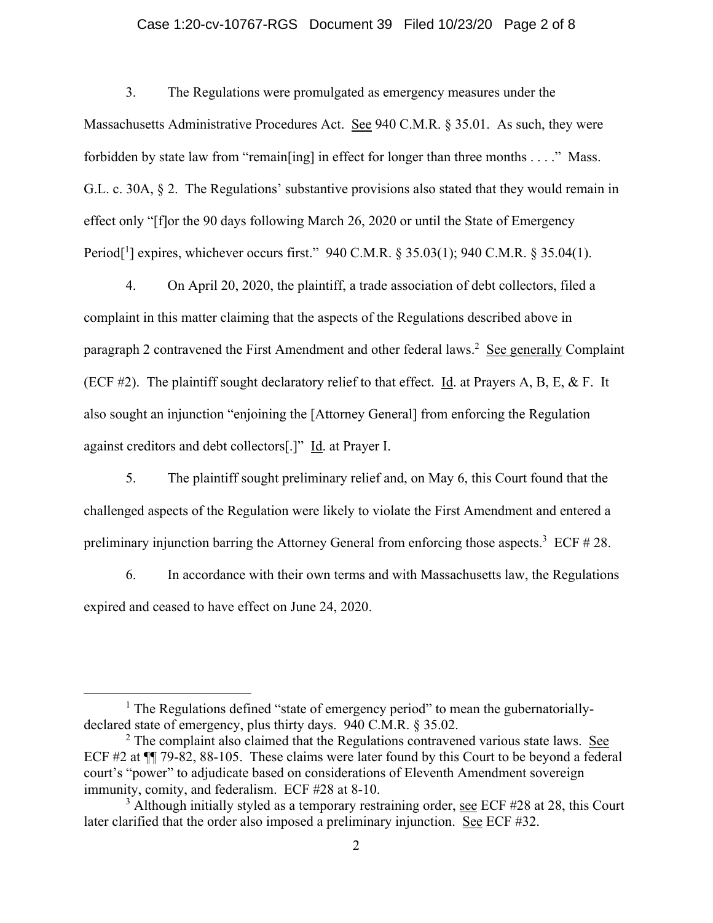# Case 1:20-cv-10767-RGS Document 39 Filed 10/23/20 Page 2 of 8

3. The Regulations were promulgated as emergency measures under the Massachusetts Administrative Procedures Act. See 940 C.M.R. § 35.01. As such, they were forbidden by state law from "remain[ing] in effect for longer than three months . . . ." Mass. G.L. c. 30A, § 2. The Regulations' substantive provisions also stated that they would remain in effect only "[f]or the 90 days following March 26, 2020 or until the State of Emergency Period<sup>[1</sup>] expires, whichever occurs first." 940 C.M.R. § 35.03(1); 940 C.M.R. § 35.04(1).

4. On April 20, 2020, the plaintiff, a trade association of debt collectors, filed a complaint in this matter claiming that the aspects of the Regulations described above in paragraph 2 contravened the First Amendment and other federal laws.<sup>2</sup> See generally Complaint (ECF #2). The plaintiff sought declaratory relief to that effect. Id. at Prayers A, B, E, & F. It also sought an injunction "enjoining the [Attorney General] from enforcing the Regulation against creditors and debt collectors[.]" Id. at Prayer I.

5. The plaintiff sought preliminary relief and, on May 6, this Court found that the challenged aspects of the Regulation were likely to violate the First Amendment and entered a preliminary injunction barring the Attorney General from enforcing those aspects.<sup>3</sup> ECF  $#28$ .

6. In accordance with their own terms and with Massachusetts law, the Regulations expired and ceased to have effect on June 24, 2020.

<sup>&</sup>lt;sup>1</sup> The Regulations defined "state of emergency period" to mean the gubernatoriallydeclared state of emergency, plus thirty days. 940 C.M.R. § 35.02.

 $2$  The complaint also claimed that the Regulations contravened various state laws. See ECF #2 at ¶¶ 79-82, 88-105. These claims were later found by this Court to be beyond a federal court's "power" to adjudicate based on considerations of Eleventh Amendment sovereign immunity, comity, and federalism. ECF #28 at 8-10.

 $3$  Although initially styled as a temporary restraining order, see ECF #28 at 28, this Court later clarified that the order also imposed a preliminary injunction. See ECF #32.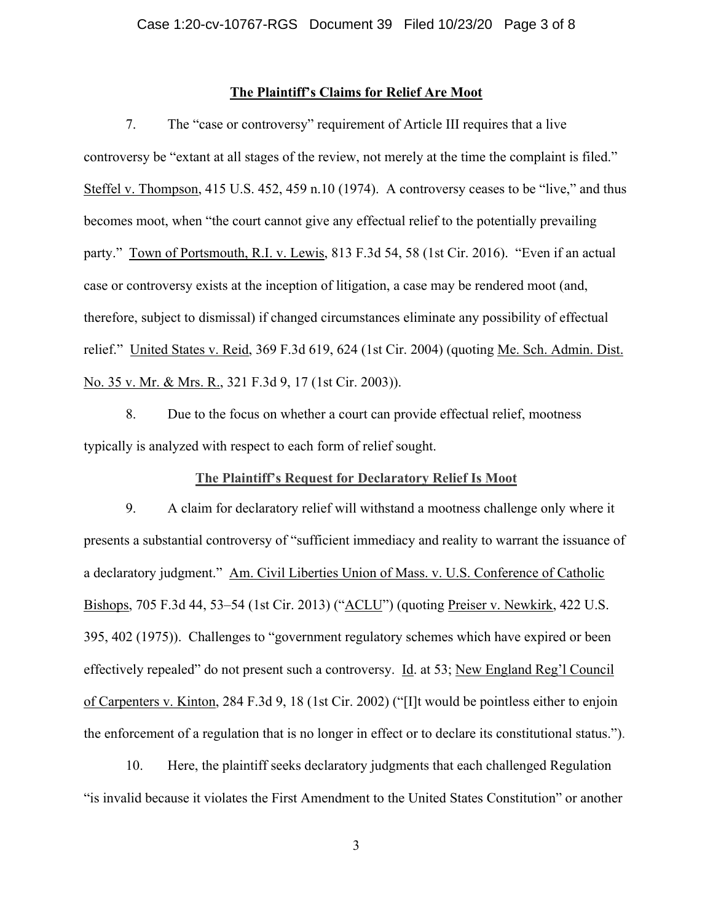## **The Plaintiff's Claims for Relief Are Moot**

7. The "case or controversy" requirement of Article III requires that a live controversy be "extant at all stages of the review, not merely at the time the complaint is filed." Steffel v. Thompson, 415 U.S. 452, 459 n.10 (1974). A controversy ceases to be "live," and thus becomes moot, when "the court cannot give any effectual relief to the potentially prevailing party." Town of Portsmouth, R.I. v. Lewis, 813 F.3d 54, 58 (1st Cir. 2016). "Even if an actual case or controversy exists at the inception of litigation, a case may be rendered moot (and, therefore, subject to dismissal) if changed circumstances eliminate any possibility of effectual relief." United States v. Reid, 369 F.3d 619, 624 (1st Cir. 2004) (quoting Me. Sch. Admin. Dist. No. 35 v. Mr. & Mrs. R., 321 F.3d 9, 17 (1st Cir. 2003)).

8. Due to the focus on whether a court can provide effectual relief, mootness typically is analyzed with respect to each form of relief sought.

## **The Plaintiff's Request for Declaratory Relief Is Moot**

9. A claim for declaratory relief will withstand a mootness challenge only where it presents a substantial controversy of "sufficient immediacy and reality to warrant the issuance of a declaratory judgment." Am. Civil Liberties Union of Mass. v. U.S. Conference of Catholic Bishops, 705 F.3d 44, 53–54 (1st Cir. 2013) ("ACLU") (quoting Preiser v. Newkirk, 422 U.S. 395, 402 (1975)). Challenges to "government regulatory schemes which have expired or been effectively repealed" do not present such a controversy. Id. at 53; New England Reg'l Council of Carpenters v. Kinton, 284 F.3d 9, 18 (1st Cir. 2002) ("[I]t would be pointless either to enjoin the enforcement of a regulation that is no longer in effect or to declare its constitutional status.").

10. Here, the plaintiff seeks declaratory judgments that each challenged Regulation "is invalid because it violates the First Amendment to the United States Constitution" or another

3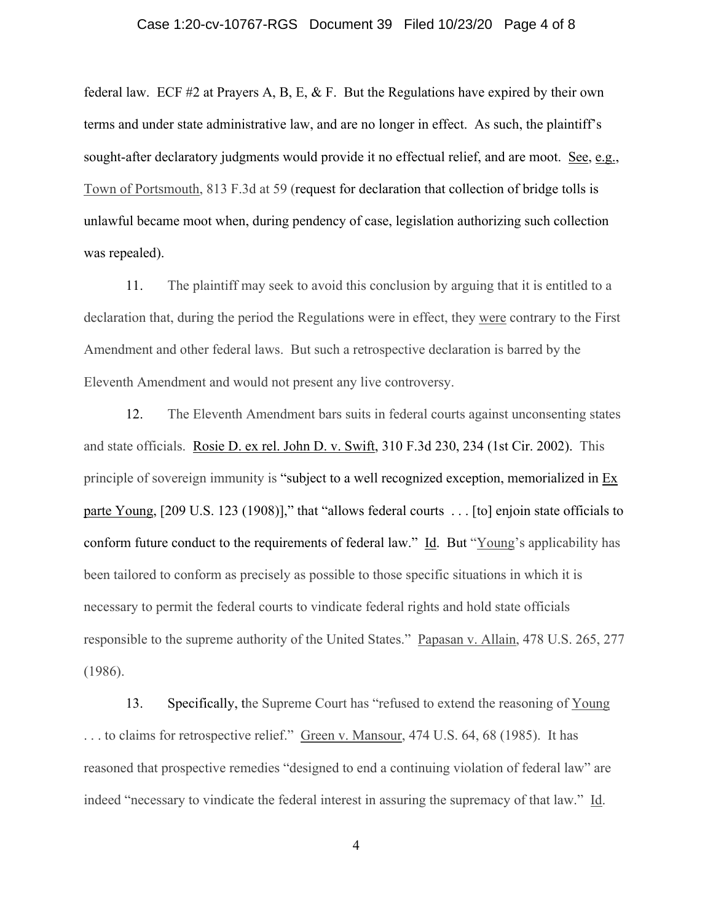### Case 1:20-cv-10767-RGS Document 39 Filed 10/23/20 Page 4 of 8

federal law. ECF #2 at Prayers A, B, E, & F. But the Regulations have expired by their own terms and under state administrative law, and are no longer in effect. As such, the plaintiff's sought-after declaratory judgments would provide it no effectual relief, and are moot. See, e.g., Town of Portsmouth, 813 F.3d at 59 (request for declaration that collection of bridge tolls is unlawful became moot when, during pendency of case, legislation authorizing such collection was repealed).

11. The plaintiff may seek to avoid this conclusion by arguing that it is entitled to a declaration that, during the period the Regulations were in effect, they were contrary to the First Amendment and other federal laws. But such a retrospective declaration is barred by the Eleventh Amendment and would not present any live controversy.

12. The Eleventh Amendment bars suits in federal courts against unconsenting states and state officials. Rosie D. ex rel. John D. v. Swift, 310 F.3d 230, 234 (1st Cir. 2002). This principle of sovereign immunity is "subject to a well recognized exception, memorialized in Ex parte Young, [209 U.S. 123 (1908)]," that "allows federal courts ... [to] enjoin state officials to conform future conduct to the requirements of federal law." Id. But "Young's applicability has been tailored to conform as precisely as possible to those specific situations in which it is necessary to permit the federal courts to vindicate federal rights and hold state officials responsible to the supreme authority of the United States." Papasan v. Allain, 478 U.S. 265, 277 (1986).

13. Specifically, the Supreme Court has "refused to extend the reasoning of Young ... to claims for retrospective relief." Green v. Mansour, 474 U.S. 64, 68 (1985). It has reasoned that prospective remedies "designed to end a continuing violation of federal law" are indeed "necessary to vindicate the federal interest in assuring the supremacy of that law." Id.

4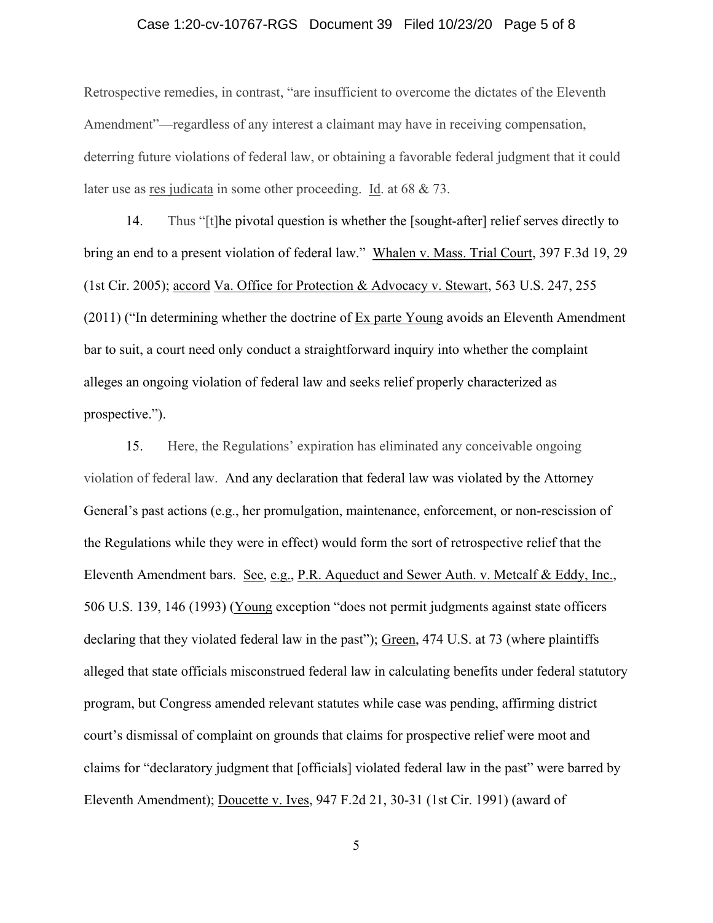### Case 1:20-cv-10767-RGS Document 39 Filed 10/23/20 Page 5 of 8

Retrospective remedies, in contrast, "are insufficient to overcome the dictates of the Eleventh Amendment"—regardless of any interest a claimant may have in receiving compensation, deterring future violations of federal law, or obtaining a favorable federal judgment that it could later use as res judicata in some other proceeding. Id. at 68 & 73.

14. Thus "[t]he pivotal question is whether the [sought-after] relief serves directly to bring an end to a present violation of federal law." Whalen v. Mass. Trial Court, 397 F.3d 19, 29 (1st Cir. 2005); accord Va. Office for Protection & Advocacy v. Stewart, 563 U.S. 247, 255 (2011) ("In determining whether the doctrine of Ex parte Young avoids an Eleventh Amendment bar to suit, a court need only conduct a straightforward inquiry into whether the complaint alleges an ongoing violation of federal law and seeks relief properly characterized as prospective.").

15. Here, the Regulations' expiration has eliminated any conceivable ongoing violation of federal law. And any declaration that federal law was violated by the Attorney General's past actions (e.g., her promulgation, maintenance, enforcement, or non-rescission of the Regulations while they were in effect) would form the sort of retrospective relief that the Eleventh Amendment bars. See, e.g., P.R. Aqueduct and Sewer Auth. v. Metcalf & Eddy, Inc., 506 U.S. 139, 146 (1993) (Young exception "does not permit judgments against state officers declaring that they violated federal law in the past"); Green, 474 U.S. at 73 (where plaintiffs alleged that state officials misconstrued federal law in calculating benefits under federal statutory program, but Congress amended relevant statutes while case was pending, affirming district court's dismissal of complaint on grounds that claims for prospective relief were moot and claims for "declaratory judgment that [officials] violated federal law in the past" were barred by Eleventh Amendment); Doucette v. Ives, 947 F.2d 21, 30-31 (1st Cir. 1991) (award of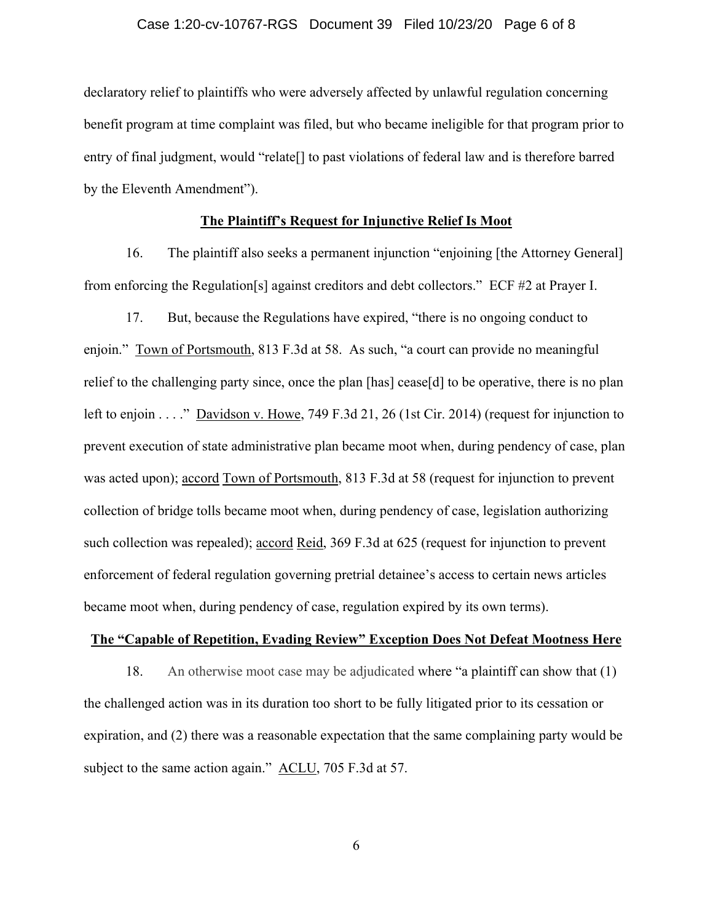#### Case 1:20-cv-10767-RGS Document 39 Filed 10/23/20 Page 6 of 8

declaratory relief to plaintiffs who were adversely affected by unlawful regulation concerning benefit program at time complaint was filed, but who became ineligible for that program prior to entry of final judgment, would "relate[] to past violations of federal law and is therefore barred by the Eleventh Amendment").

# **The Plaintiff's Request for Injunctive Relief Is Moot**

16. The plaintiff also seeks a permanent injunction "enjoining [the Attorney General] from enforcing the Regulation[s] against creditors and debt collectors." ECF #2 at Prayer I.

17. But, because the Regulations have expired, "there is no ongoing conduct to enjoin." Town of Portsmouth, 813 F.3d at 58. As such, "a court can provide no meaningful relief to the challenging party since, once the plan [has] cease[d] to be operative, there is no plan left to enjoin . . . ." Davidson v. Howe, 749 F.3d 21, 26 (1st Cir. 2014) (request for injunction to prevent execution of state administrative plan became moot when, during pendency of case, plan was acted upon); accord Town of Portsmouth, 813 F.3d at 58 (request for injunction to prevent collection of bridge tolls became moot when, during pendency of case, legislation authorizing such collection was repealed); <u>accord Reid</u>, 369 F.3d at 625 (request for injunction to prevent enforcement of federal regulation governing pretrial detainee's access to certain news articles became moot when, during pendency of case, regulation expired by its own terms).

### **The "Capable of Repetition, Evading Review" Exception Does Not Defeat Mootness Here**

18. An otherwise moot case may be adjudicated where "a plaintiff can show that (1) the challenged action was in its duration too short to be fully litigated prior to its cessation or expiration, and (2) there was a reasonable expectation that the same complaining party would be subject to the same action again." ACLU, 705 F.3d at 57.

6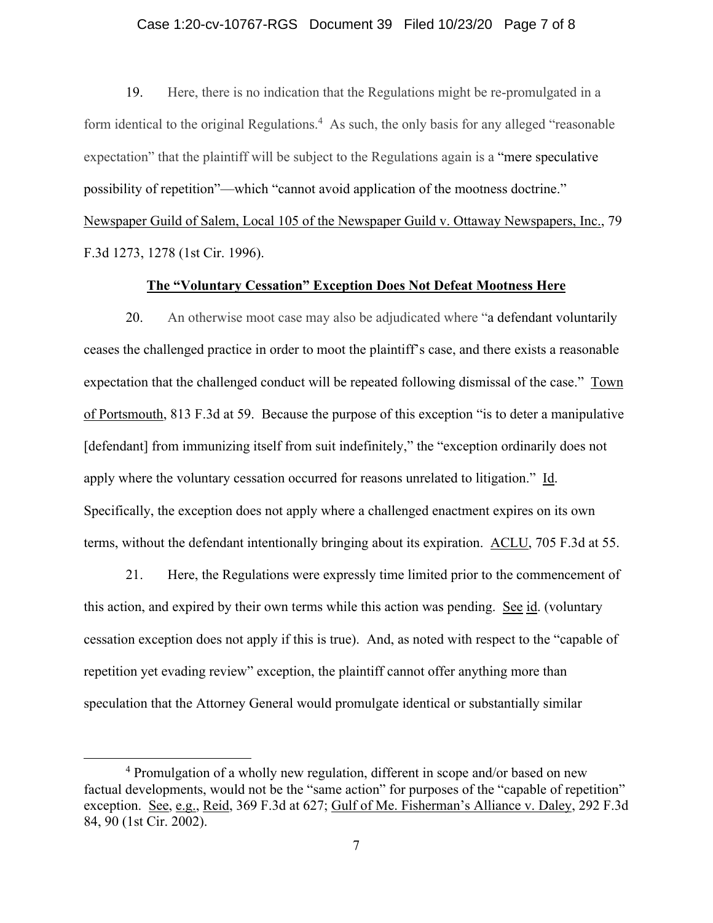### Case 1:20-cv-10767-RGS Document 39 Filed 10/23/20 Page 7 of 8

19. Here, there is no indication that the Regulations might be re-promulgated in a form identical to the original Regulations.<sup>4</sup> As such, the only basis for any alleged "reasonable" expectation" that the plaintiff will be subject to the Regulations again is a "mere speculative possibility of repetition"—which "cannot avoid application of the mootness doctrine." Newspaper Guild of Salem, Local 105 of the Newspaper Guild v. Ottaway Newspapers, Inc., 79 F.3d 1273, 1278 (1st Cir. 1996).

# **The "Voluntary Cessation" Exception Does Not Defeat Mootness Here**

20. An otherwise moot case may also be adjudicated where "a defendant voluntarily ceases the challenged practice in order to moot the plaintiff's case, and there exists a reasonable expectation that the challenged conduct will be repeated following dismissal of the case." Town of Portsmouth, 813 F.3d at 59. Because the purpose of this exception "is to deter a manipulative [defendant] from immunizing itself from suit indefinitely," the "exception ordinarily does not apply where the voluntary cessation occurred for reasons unrelated to litigation." Id. Specifically, the exception does not apply where a challenged enactment expires on its own terms, without the defendant intentionally bringing about its expiration. ACLU, 705 F.3d at 55.

21. Here, the Regulations were expressly time limited prior to the commencement of this action, and expired by their own terms while this action was pending. See id. (voluntary cessation exception does not apply if this is true). And, as noted with respect to the "capable of repetition yet evading review" exception, the plaintiff cannot offer anything more than speculation that the Attorney General would promulgate identical or substantially similar

<sup>&</sup>lt;sup>4</sup> Promulgation of a wholly new regulation, different in scope and/or based on new factual developments, would not be the "same action" for purposes of the "capable of repetition" exception. See, e.g., Reid, 369 F.3d at 627; Gulf of Me. Fisherman's Alliance v. Daley, 292 F.3d 84, 90 (1st Cir. 2002).